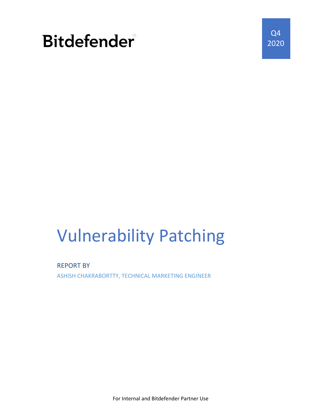

Q4 2020

# Vulnerability Patching

REPORT BY

ASHISH CHAKRABORTTY, TECHNICAL MARKETING ENGINEER

For Internal and Bitdefender Partner Use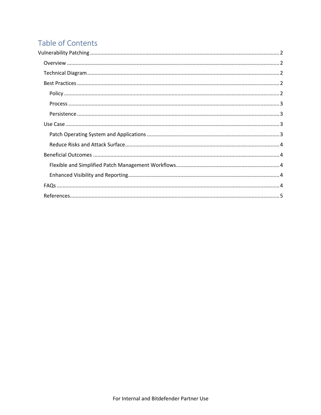# Table of Contents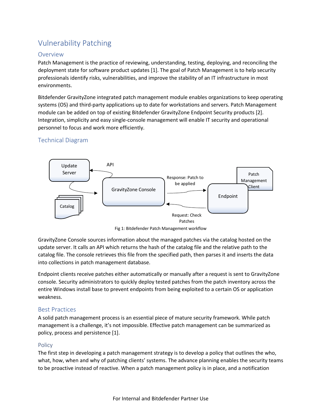# Vulnerability Patching

# Overview

Patch Management is the practice of reviewing, understanding, testing, deploying, and reconciling the deployment state for software product updates [1]. The goal of Patch Management is to help security professionals identify risks, vulnerabilities, and improve the stability of an IT infrastructure in most environments.

Bitdefender GravityZone integrated patch management module enables organizations to keep operating systems (OS) and third-party applications up to date for workstations and servers. Patch Management module can be added on top of existing Bitdefender GravityZone Endpoint Security products [2]. Integration, simplicity and easy single-console management will enable IT security and operational personnel to focus and work more efficiently.

# Technical Diagram



Fig 1: Bitdefender Patch Management workflow

GravityZone Console sources information about the managed patches via the catalog hosted on the update server. It calls an API which returns the hash of the catalog file and the relative path to the catalog file. The console retrieves this file from the specified path, then parses it and inserts the data into collections in patch management database.

Endpoint clients receive patches either automatically or manually after a request is sent to GravityZone console. Security administrators to quickly deploy tested patches from the patch inventory across the entire Windows install base to prevent endpoints from being exploited to a certain OS or application weakness.

# Best Practices

A solid patch management process is an essential piece of mature security framework. While patch management is a challenge, it's not impossible. Effective patch management can be summarized as policy, process and persistence [1].

# Policy

The first step in developing a patch management strategy is to develop a policy that outlines the who, what, how, when and why of patching clients' systems. The advance planning enables the security teams to be proactive instead of reactive. When a patch management policy is in place, and a notification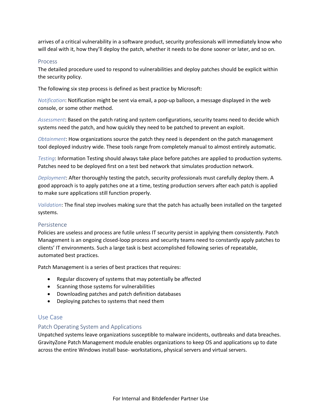arrives of a critical vulnerability in a software product, security professionals will immediately know who will deal with it, how they'll deploy the patch, whether it needs to be done sooner or later, and so on.

#### Process

The detailed procedure used to respond to vulnerabilities and deploy patches should be explicit within the security policy.

The following six step process is defined as best practice by Microsoft:

*Notification*: Notification might be sent via email, a pop-up balloon, a message displayed in the web console, or some other method.

*Assessment*: Based on the patch rating and system configurations, security teams need to decide which systems need the patch, and how quickly they need to be patched to prevent an exploit.

*Obtainment*: How organizations source the patch they need is dependent on the patch management tool deployed industry wide. These tools range from completely manual to almost entirely automatic.

*Testing*: Information Testing should always take place before patches are applied to production systems. Patches need to be deployed first on a test bed network that simulates production network.

*Deployment*: After thoroughly testing the patch, security professionals must carefully deploy them. A good approach is to apply patches one at a time, testing production servers after each patch is applied to make sure applications still function properly.

*Validation*: The final step involves making sure that the patch has actually been installed on the targeted systems.

#### Persistence

Policies are useless and process are futile unless IT security persist in applying them consistently. Patch Management is an ongoing closed-loop process and security teams need to constantly apply patches to clients' IT environments. Such a large task is best accomplished following series of repeatable, automated best practices.

Patch Management is a series of best practices that requires:

- Regular discovery of systems that may potentially be affected
- Scanning those systems for vulnerabilities
- Downloading patches and patch definition databases
- Deploying patches to systems that need them

## Use Case

#### Patch Operating System and Applications

Unpatched systems leave organizations susceptible to malware incidents, outbreaks and data breaches. GravityZone Patch Management module enables organizations to keep OS and applications up to date across the entire Windows install base- workstations, physical servers and virtual servers.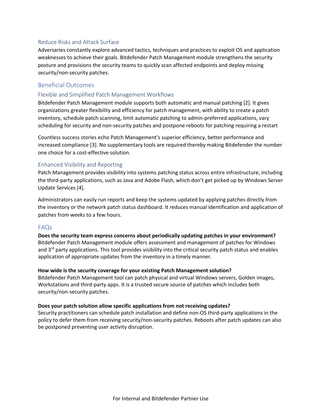## Reduce Risks and Attack Surface

Adversaries constantly explore advanced tactics, techniques and practices to exploit OS and application weaknesses to achieve their goals. Bitdefender Patch Management module strengthens the security posture and provisions the security teams to quickly scan affected endpoints and deploy missing security/non-security patches.

# Beneficial Outcomes

#### Flexible and Simplified Patch Management Workflows

Bitdefender Patch Management module supports both automatic and manual patching [2]. It gives organizations greater flexibility and efficiency for patch management, with ability to create a patch inventory, schedule patch scanning, limit automatic patching to admin-preferred applications, vary scheduling for security and non-security patches and postpone reboots for patching requiring a restart

Countless success stories echo Patch Management's superior efficiency, better performance and increased compliance [3]. No supplementary tools are required thereby making Bitdefender the number one choice for a cost-effective solution.

### Enhanced Visibility and Reporting

Patch Management provides visibility into systems patching status across entire infrastructure, including the third-party applications, such as Java and Adobe Flash, which don't get picked up by Windows Server Update Services [4].

Administrators can easily run reports and keep the systems updated by applying patches directly from the inventory or the network patch status dashboard. It reduces manual identification and application of patches from weeks to a few hours.

#### FAQs

**Does the security team express concerns about periodically updating patches in your environment?** Bitdefender Patch Management module offers assessment and management of patches for Windows and  $3<sup>rd</sup>$  party applications. This tool provides visibility into the critical security patch status and enables application of appropriate updates from the inventory in a timely manner.

#### **How wide is the security coverage for your existing Patch Management solution?**

Bitdefender Patch Management tool can patch physical and virtual Windows servers, Golden images, Workstations and third-party apps. It is a trusted secure source of patches which includes both security/non-security patches.

#### **Does your patch solution allow specific applications from not receiving updates?**

Security practitioners can schedule patch installation and define non-OS third-party applications in the policy to defer them from receiving security/non-security patches. Reboots after patch updates can also be postponed preventing user activity disruption.